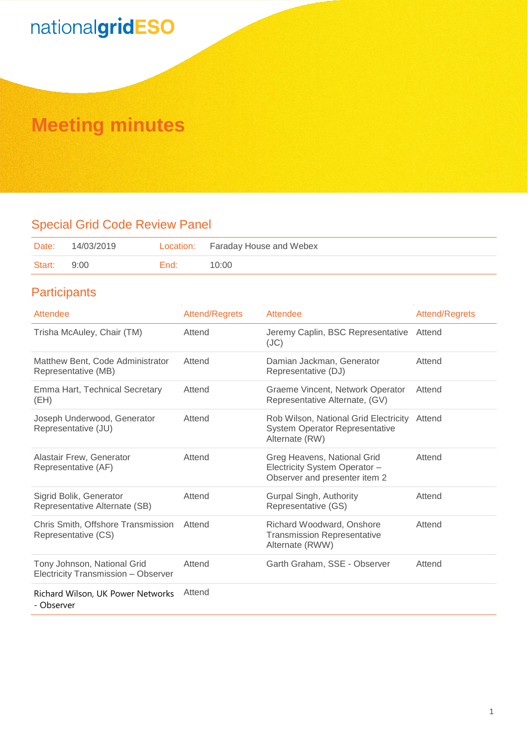# nationalgridESO

## **Meeting minutes**

### Special Grid Code Review Panel

| Date:  | 14/03/2019 |      | Location: Faraday House and Webex |
|--------|------------|------|-----------------------------------|
| Start: | 9:00       | End: | 10:00                             |

### **Participants**

| Attendee                                                           | <b>Attend/Regrets</b> | Attendee                                                                                         | <b>Attend/Regrets</b> |
|--------------------------------------------------------------------|-----------------------|--------------------------------------------------------------------------------------------------|-----------------------|
| Trisha McAuley, Chair (TM)                                         | Attend                | Jeremy Caplin, BSC Representative<br>(JC)                                                        | Attend                |
| Matthew Bent, Code Administrator<br>Representative (MB)            | Attend                | Damian Jackman, Generator<br>Representative (DJ)                                                 | Attend                |
| Emma Hart, Technical Secretary<br>(EH)                             | Attend                | Graeme Vincent, Network Operator<br>Representative Alternate, (GV)                               | Attend                |
| Joseph Underwood, Generator<br>Representative (JU)                 | Attend                | Rob Wilson, National Grid Electricity<br><b>System Operator Representative</b><br>Alternate (RW) | Attend                |
| Alastair Frew, Generator<br>Representative (AF)                    | Attend                | Greg Heavens, National Grid<br>Electricity System Operator -<br>Observer and presenter item 2    | Attend                |
| Sigrid Bolik, Generator<br>Representative Alternate (SB)           | Attend                | Gurpal Singh, Authority<br>Representative (GS)                                                   | Attend                |
| Chris Smith, Offshore Transmission<br>Representative (CS)          | Attend                | Richard Woodward, Onshore<br><b>Transmission Representative</b><br>Alternate (RWW)               | Attend                |
| Tony Johnson, National Grid<br>Electricity Transmission - Observer | Attend                | Garth Graham, SSE - Observer                                                                     | Attend                |
| Richard Wilson, UK Power Networks<br>- Observer                    | Attend                |                                                                                                  |                       |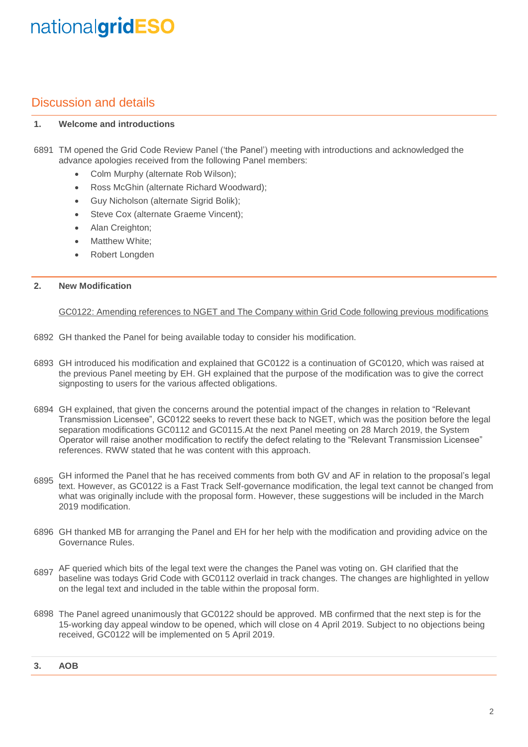## nationalgridESO

### Discussion and details

#### **1. Welcome and introductions**

- 6891 TM opened the Grid Code Review Panel ('the Panel') meeting with introductions and acknowledged the advance apologies received from the following Panel members:
	- Colm Murphy (alternate Rob Wilson);
	- Ross McGhin (alternate Richard Woodward);
	- Guy Nicholson (alternate Sigrid Bolik);
	- Steve Cox (alternate Graeme Vincent);
	- Alan Creighton;
	- Matthew White:
	- Robert Longden

#### **2. New Modification**

GC0122: Amending references to NGET and The Company within Grid Code following previous modifications

- 6892 GH thanked the Panel for being available today to consider his modification.
- 6893 GH introduced his modification and explained that GC0122 is a continuation of GC0120, which was raised at the previous Panel meeting by EH. GH explained that the purpose of the modification was to give the correct signposting to users for the various affected obligations.
- 6894 GH explained, that given the concerns around the potential impact of the changes in relation to "Relevant Transmission Licensee", GC0122 seeks to revert these back to NGET, which was the position before the legal separation modifications GC0112 and GC0115.At the next Panel meeting on 28 March 2019, the System Operator will raise another modification to rectify the defect relating to the "Relevant Transmission Licensee" references. RWW stated that he was content with this approach.
- 6895 GH informed the Panel that he has received comments from both GV and AF in relation to the proposal's legal text. However, as GC0122 is a Fast Track Self-governance modification, the legal text cannot be changed from what was originally include with the proposal form. However, these suggestions will be included in the March 2019 modification.
- 6896 GH thanked MB for arranging the Panel and EH for her help with the modification and providing advice on the Governance Rules.
- 6897 AF queried which bits of the legal text were the changes the Panel was voting on. GH clarified that the 6897 has also were to do not be clarified to the changes of the change of the changes of the changes of the chang baseline was todays Grid Code with GC0112 overlaid in track changes. The changes are highlighted in yellow on the legal text and included in the table within the proposal form.
- 6898 The Panel agreed unanimously that GC0122 should be approved. MB confirmed that the next step is for the 15-working day appeal window to be opened, which will close on 4 April 2019. Subject to no objections being received, GC0122 will be implemented on 5 April 2019.

### **3. AOB**